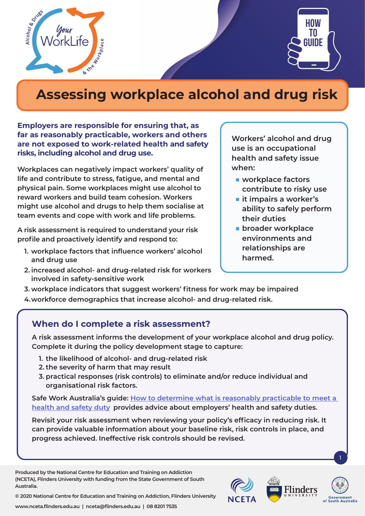



# **Assessing workplace alcohol and drug risk**

**Employers are responsible for ensuring that, as far as reasonably practicable, workers and others are not exposed to work-related health and safety risks, including alcohol and drug use.**

**Workplaces can negatively impact workers' quality of life and contribute to stress, fatigue, and mental and physical pain. Some workplaces might use alcohol to reward workers and build team cohesion. Workers might use alcohol and drugs to help them socialise at team events and cope with work and life problems.** 

**A risk assessment is required to understand your risk profile and proactively identify and respond to:** 

- **1. workplace factors that influence workers' alcohol and drug use**
- **2. increased alcohol- and drug-related risk for workers involved in safety-sensitive work**

**Workers' alcohol and drug use is an occupational health and safety issue when:**

- **workplace factors contribute to risky use**
- **it impairs a worker's ability to safely perform their duties**
- **broader workplace environments and relationships are harmed.**
- **3. workplace indicators that suggest workers' fitness for work may be impaired**
- **4.workforce demographics that increase alcohol- and drug-related risk.**

## **When do I complete a risk assessment?**

**A risk assessment informs the development of your workplace alcohol and drug policy. Complete it during the policy development stage to capture:**

- **1. the likelihood of alcohol- and drug-related risk**
- **2. the severity of harm that may result**
- **3. practical responses (risk controls) to eliminate and/or reduce individual and organisational risk factors.**

**Safe Work Australia's guide: [How to determine what is reasonably practicable to meet a](https://www.safeworkaustralia.gov.au/doc/how-determine-what-reasonably-practicable-meet-health-and-safety-duty)  [health and safety duty](https://www.safeworkaustralia.gov.au/doc/how-determine-what-reasonably-practicable-meet-health-and-safety-duty), provides advice about employers' health and safety duties.**

**Revisit your risk assessment when reviewing your policy's efficacy in reducing risk. It can provide valuable information about your baseline risk, risk controls in place, and progress achieved. Ineffective risk controls should be revised.** 

**Produced by the National Centre for Education and Training on Addiction (NCETA), Flinders University with funding from the State Government of South Australia.** 



1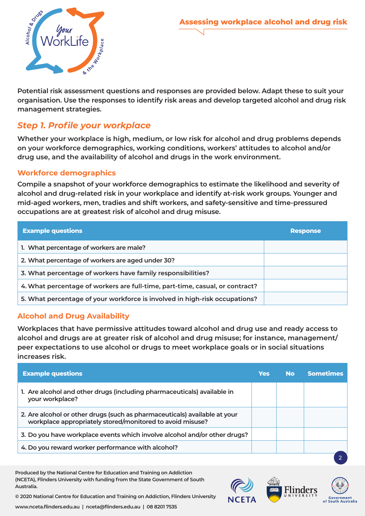

**Potential risk assessment questions and responses are provided below. Adapt these to suit your organisation. Use the responses to identify risk areas and develop targeted alcohol and drug risk management strategies.** 

## *Step 1. Profile your workplace*

**Whether your workplace is high, medium, or low risk for alcohol and drug problems depends on your workforce demographics, working conditions, workers' attitudes to alcohol and/or drug use, and the availability of alcohol and drugs in the work environment.** 

#### **Workforce demographics**

**Compile a snapshot of your workforce demographics to estimate the likelihood and severity of alcohol and drug-related risk in your workplace and identify at-risk work groups. Younger and mid-aged workers, men, tradies and shift workers, and safety-sensitive and time-pressured occupations are at greatest risk of alcohol and drug misuse.** 

| <b>Example questions</b>                                                     | <b>Response</b> |
|------------------------------------------------------------------------------|-----------------|
| 1. What percentage of workers are male?                                      |                 |
| 2. What percentage of workers are aged under 30?                             |                 |
| 3. What percentage of workers have family responsibilities?                  |                 |
| 4. What percentage of workers are full-time, part-time, casual, or contract? |                 |
| 5. What percentage of your workforce is involved in high-risk occupations?   |                 |

#### **Alcohol and Drug Availability**

**Workplaces that have permissive attitudes toward alcohol and drug use and ready access to alcohol and drugs are at greater risk of alcohol and drug misuse; for instance, management/ peer expectations to use alcohol or drugs to meet workplace goals or in social situations increases risk.**

| <b>Example questions</b>                                                                                                               | Yes | <b>No</b> | <b>Sometimes</b> |
|----------------------------------------------------------------------------------------------------------------------------------------|-----|-----------|------------------|
| 1. Are alcohol and other drugs (including pharmaceuticals) available in<br>your workplace?                                             |     |           |                  |
| 2. Are alcohol or other drugs (such as pharmaceuticals) available at your<br>workplace appropriately stored/monitored to avoid misuse? |     |           |                  |
| 3. Do you have workplace events which involve alcohol and/or other drugs?                                                              |     |           |                  |
| 4. Do you reward worker performance with alcohol?                                                                                      |     |           |                  |
|                                                                                                                                        |     |           |                  |

**Produced by the National Centre for Education and Training on Addiction (NCETA), Flinders University with funding from the State Government of South Australia.** 

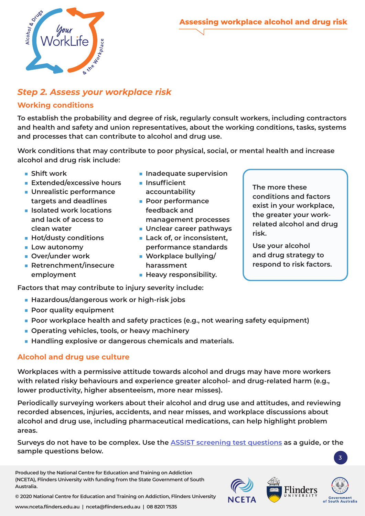

## *Step 2. Assess your workplace risk*

#### **Working conditions**

**To establish the probability and degree of risk, regularly consult workers, including contractors and health and safety and union representatives, about the working conditions, tasks, systems and processes that can contribute to alcohol and drug use.** 

**Work conditions that may contribute to poor physical, social, or mental health and increase alcohol and drug risk include:**

- **Shift work**
- **Extended/excessive hours**
- **Unrealistic performance targets and deadlines**
- **Isolated work locations and lack of access to clean water**
- **Hot/dusty conditions**
- Low autonomy
- **Over/under work**
- **Retrenchment/insecure employment**
- **Inadequate supervision**
- **Insufficient accountability**
- **Poor performance feedback and management processes**
- **Unclear career pathways**
- Lack of, or inconsistent, **performance standards**
- Workplace bullying/ **harassment**
- **Heavy responsibility.**

**The more these conditions and factors exist in your workplace, the greater your workrelated alcohol and drug risk.** 

**Use your alcohol and drug strategy to respond to risk factors.** 

**Factors that may contribute to injury severity include:**

- Hazardous/dangerous work or high-risk jobs
- **Poor quality equipment**
- **Poor workplace health and safety practices (e.g., not wearing safety equipment)**
- **Operating vehicles, tools, or heavy machinery**
- Handling explosive or dangerous chemicals and materials.

#### **Alcohol and drug use culture**

**Workplaces with a permissive attitude towards alcohol and drugs may have more workers with related risky behaviours and experience greater alcohol- and drug-related harm (e.g., lower productivity, higher absenteeism, more near misses).** 

**Periodically surveying workers about their alcohol and drug use and attitudes, and reviewing recorded absences, injuries, accidents, and near misses, and workplace discussions about alcohol and drug use, including pharmaceutical medications, can help highlight problem areas.** 

**Surveys do not have to be complex. Use the [ASSIST screening test questions](https://www.who.int/substance_abuse/activities/assist_v3_english.pdf) as a guide, or the sample questions below.**

**Produced by the National Centre for Education and Training on Addiction (NCETA), Flinders University with funding from the State Government of South Australia.** 

**Government**<br>of South Australia

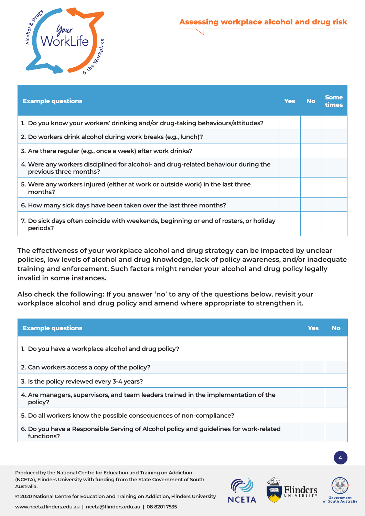

| <b>Example questions</b>                                                                                     | <b>Yes</b> | <b>No</b> | <b>Some</b><br>times |
|--------------------------------------------------------------------------------------------------------------|------------|-----------|----------------------|
| 1. Do you know your workers' drinking and/or drug-taking behaviours/attitudes?                               |            |           |                      |
| 2. Do workers drink alcohol during work breaks (e.g., lunch)?                                                |            |           |                      |
| 3. Are there regular (e.g., once a week) after work drinks?                                                  |            |           |                      |
| 4. Were any workers disciplined for alcohol- and drug-related behaviour during the<br>previous three months? |            |           |                      |
| 5. Were any workers injured (either at work or outside work) in the last three<br>months?                    |            |           |                      |
| 6. How many sick days have been taken over the last three months?                                            |            |           |                      |
| 7. Do sick days often coincide with weekends, beginning or end of rosters, or holiday<br>periods?            |            |           |                      |

**The effectiveness of your workplace alcohol and drug strategy can be impacted by unclear policies, low levels of alcohol and drug knowledge, lack of policy awareness, and/or inadequate training and enforcement. Such factors might render your alcohol and drug policy legally invalid in some instances.** 

**Also check the following: If you answer 'no' to any of the questions below, revisit your workplace alcohol and drug policy and amend where appropriate to strengthen it.** 

| <b>Example questions</b>                                                                             | Yes | <b>No</b> |
|------------------------------------------------------------------------------------------------------|-----|-----------|
| 1. Do you have a workplace alcohol and drug policy?                                                  |     |           |
| 2. Can workers access a copy of the policy?                                                          |     |           |
| 3. Is the policy reviewed every 3-4 years?                                                           |     |           |
| 4. Are managers, supervisors, and team leaders trained in the implementation of the<br>policy?       |     |           |
| 5. Do all workers know the possible consequences of non-compliance?                                  |     |           |
| 6. Do you have a Responsible Serving of Alcohol policy and guidelines for work-related<br>functions? |     |           |

**Produced by the National Centre for Education and Training on Addiction (NCETA), Flinders University with funding from the State Government of South Australia.** 



4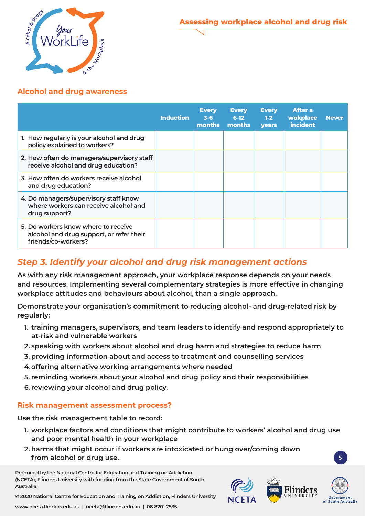

#### **Alcohol and drug awareness**

|                                                                                                        | <b>Induction</b> | <b>Every</b><br>$3 - 6$<br>months | <b>Every</b><br>$6-12$<br>months | <b>Every</b><br>$1-2$<br><b>vears</b> | <b>After a</b><br><b>wokplace</b><br><i>incident</i> | <b>Never</b> |
|--------------------------------------------------------------------------------------------------------|------------------|-----------------------------------|----------------------------------|---------------------------------------|------------------------------------------------------|--------------|
| 1. How regularly is your alcohol and drug<br>policy explained to workers?                              |                  |                                   |                                  |                                       |                                                      |              |
| 2. How often do managers/supervisory staff<br>receive alcohol and drug education?                      |                  |                                   |                                  |                                       |                                                      |              |
| 3. How often do workers receive alcohol<br>and drug education?                                         |                  |                                   |                                  |                                       |                                                      |              |
| 4. Do managers/supervisory staff know<br>where workers can receive alcohol and<br>drug support?        |                  |                                   |                                  |                                       |                                                      |              |
| 5. Do workers know where to receive<br>alcohol and drug support, or refer their<br>friends/co-workers? |                  |                                   |                                  |                                       |                                                      |              |

## *Step 3. Identify your alcohol and drug risk management actions*

**As with any risk management approach, your workplace response depends on your needs and resources. Implementing several complementary strategies is more effective in changing workplace attitudes and behaviours about alcohol, than a single approach.** 

**Demonstrate your organisation's commitment to reducing alcohol- and drug-related risk by regularly:**

- **1. training managers, supervisors, and team leaders to identify and respond appropriately to at-risk and vulnerable workers**
- **2. speaking with workers about alcohol and drug harm and strategies to reduce harm**
- **3. providing information about and access to treatment and counselling services**
- **4.offering alternative working arrangements where needed**
- **5. reminding workers about your alcohol and drug policy and their responsibilities**
- **6. reviewing your alcohol and drug policy.**

### **Risk management assessment process?**

**Use the risk management table to record:**

- **1. workplace factors and conditions that might contribute to workers' alcohol and drug use and poor mental health in your workplace**
- **2. harms that might occur if workers are intoxicated or hung over/coming down**  from alcohol or drug use.

**Produced by the National Centre for Education and Training on Addiction (NCETA), Flinders University with funding from the State Government of South Australia.**